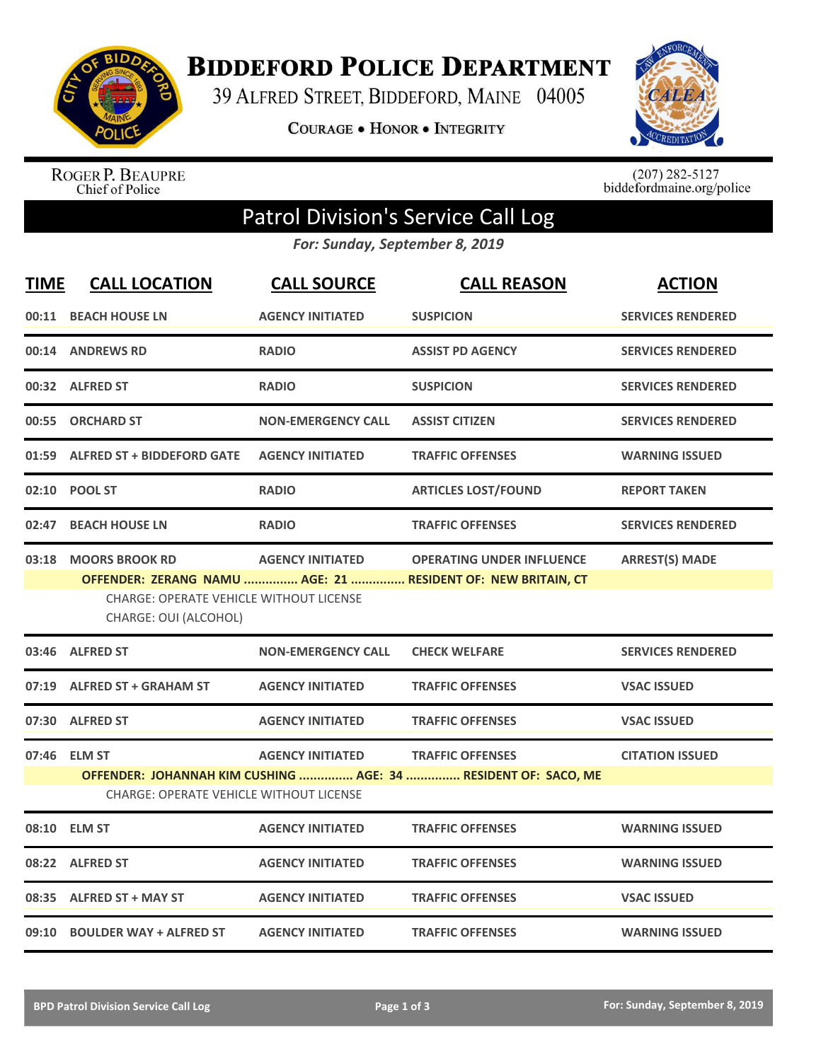

**BIDDEFORD POLICE DEPARTMENT** 

39 ALFRED STREET, BIDDEFORD, MAINE 04005

COURAGE . HONOR . INTEGRITY



ROGER P. BEAUPRE<br>Chief of Police

 $(207)$  282-5127<br>biddefordmaine.org/police

## Patrol Division's Service Call Log

*For: Sunday, September 8, 2019*

| <b>TIME</b> | <b>CALL LOCATION</b>                                                                     | <b>CALL SOURCE</b>        | <b>CALL REASON</b>                                                                               | <b>ACTION</b>            |
|-------------|------------------------------------------------------------------------------------------|---------------------------|--------------------------------------------------------------------------------------------------|--------------------------|
|             | 00:11 BEACH HOUSE LN                                                                     | <b>AGENCY INITIATED</b>   | <b>SUSPICION</b>                                                                                 | <b>SERVICES RENDERED</b> |
|             | 00:14 ANDREWS RD                                                                         | <b>RADIO</b>              | <b>ASSIST PD AGENCY</b>                                                                          | <b>SERVICES RENDERED</b> |
|             | 00:32 ALFRED ST                                                                          | <b>RADIO</b>              | <b>SUSPICION</b>                                                                                 | <b>SERVICES RENDERED</b> |
|             | 00:55 ORCHARD ST                                                                         | <b>NON-EMERGENCY CALL</b> | <b>ASSIST CITIZEN</b>                                                                            | <b>SERVICES RENDERED</b> |
|             | 01:59 ALFRED ST + BIDDEFORD GATE                                                         | <b>AGENCY INITIATED</b>   | <b>TRAFFIC OFFENSES</b>                                                                          | <b>WARNING ISSUED</b>    |
|             | 02:10 POOL ST                                                                            | <b>RADIO</b>              | <b>ARTICLES LOST/FOUND</b>                                                                       | <b>REPORT TAKEN</b>      |
| 02:47       | <b>BEACH HOUSE LN</b>                                                                    | <b>RADIO</b>              | <b>TRAFFIC OFFENSES</b>                                                                          | <b>SERVICES RENDERED</b> |
|             | 03:18 MOORS BROOK RD<br>CHARGE: OPERATE VEHICLE WITHOUT LICENSE<br>CHARGE: OUI (ALCOHOL) | <b>AGENCY INITIATED</b>   | <b>OPERATING UNDER INFLUENCE</b><br>OFFENDER: ZERANG NAMU  AGE: 21  RESIDENT OF: NEW BRITAIN, CT | <b>ARREST(S) MADE</b>    |
|             | 03:46 ALFRED ST                                                                          | <b>NON-EMERGENCY CALL</b> | <b>CHECK WELFARE</b>                                                                             | <b>SERVICES RENDERED</b> |
|             | 07:19 ALFRED ST + GRAHAM ST                                                              | <b>AGENCY INITIATED</b>   | <b>TRAFFIC OFFENSES</b>                                                                          | <b>VSAC ISSUED</b>       |
|             | 07:30 ALFRED ST                                                                          | <b>AGENCY INITIATED</b>   | <b>TRAFFIC OFFENSES</b>                                                                          | <b>VSAC ISSUED</b>       |
|             | 07:46 ELM ST<br><b>CHARGE: OPERATE VEHICLE WITHOUT LICENSE</b>                           | <b>AGENCY INITIATED</b>   | <b>TRAFFIC OFFENSES</b><br>OFFENDER: JOHANNAH KIM CUSHING  AGE: 34  RESIDENT OF: SACO, ME        | <b>CITATION ISSUED</b>   |
|             | 08:10 ELM ST                                                                             | <b>AGENCY INITIATED</b>   | <b>TRAFFIC OFFENSES</b>                                                                          | <b>WARNING ISSUED</b>    |
|             | 08:22 ALFRED ST                                                                          | <b>AGENCY INITIATED</b>   | <b>TRAFFIC OFFENSES</b>                                                                          | <b>WARNING ISSUED</b>    |
|             | 08:35 ALFRED ST + MAY ST                                                                 | <b>AGENCY INITIATED</b>   | <b>TRAFFIC OFFENSES</b>                                                                          | <b>VSAC ISSUED</b>       |
|             | 09:10 BOULDER WAY + ALFRED ST                                                            | <b>AGENCY INITIATED</b>   | <b>TRAFFIC OFFENSES</b>                                                                          | <b>WARNING ISSUED</b>    |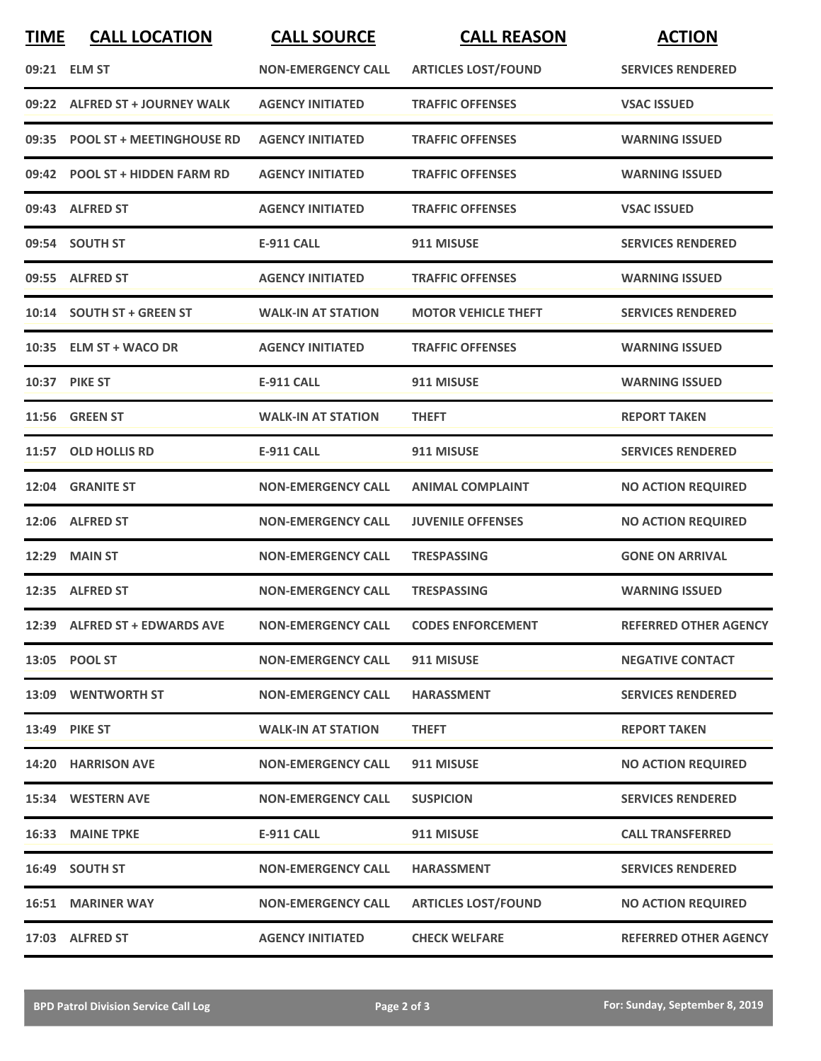| <b>TIME</b> | <b>CALL LOCATION</b>             | <b>CALL SOURCE</b>        | <b>CALL REASON</b>         | <b>ACTION</b>                |
|-------------|----------------------------------|---------------------------|----------------------------|------------------------------|
|             | 09:21 ELM ST                     | <b>NON-EMERGENCY CALL</b> | <b>ARTICLES LOST/FOUND</b> | <b>SERVICES RENDERED</b>     |
| 09:22       | <b>ALFRED ST + JOURNEY WALK</b>  | <b>AGENCY INITIATED</b>   | <b>TRAFFIC OFFENSES</b>    | <b>VSAC ISSUED</b>           |
| 09:35       | <b>POOL ST + MEETINGHOUSE RD</b> | <b>AGENCY INITIATED</b>   | <b>TRAFFIC OFFENSES</b>    | <b>WARNING ISSUED</b>        |
|             | 09:42 POOL ST + HIDDEN FARM RD   | <b>AGENCY INITIATED</b>   | <b>TRAFFIC OFFENSES</b>    | <b>WARNING ISSUED</b>        |
|             | 09:43 ALFRED ST                  | <b>AGENCY INITIATED</b>   | <b>TRAFFIC OFFENSES</b>    | <b>VSAC ISSUED</b>           |
|             | 09:54 SOUTH ST                   | <b>E-911 CALL</b>         | 911 MISUSE                 | <b>SERVICES RENDERED</b>     |
|             | 09:55 ALFRED ST                  | <b>AGENCY INITIATED</b>   | <b>TRAFFIC OFFENSES</b>    | <b>WARNING ISSUED</b>        |
|             | 10:14 SOUTH ST + GREEN ST        | <b>WALK-IN AT STATION</b> | <b>MOTOR VEHICLE THEFT</b> | <b>SERVICES RENDERED</b>     |
|             | 10:35 ELM ST + WACO DR           | <b>AGENCY INITIATED</b>   | <b>TRAFFIC OFFENSES</b>    | <b>WARNING ISSUED</b>        |
|             | <b>10:37 PIKE ST</b>             | <b>E-911 CALL</b>         | 911 MISUSE                 | <b>WARNING ISSUED</b>        |
|             | <b>11:56 GREEN ST</b>            | <b>WALK-IN AT STATION</b> | <b>THEFT</b>               | <b>REPORT TAKEN</b>          |
|             | 11:57 OLD HOLLIS RD              | <b>E-911 CALL</b>         | 911 MISUSE                 | <b>SERVICES RENDERED</b>     |
| 12:04       | <b>GRANITE ST</b>                | <b>NON-EMERGENCY CALL</b> | <b>ANIMAL COMPLAINT</b>    | <b>NO ACTION REQUIRED</b>    |
|             | 12:06 ALFRED ST                  | <b>NON-EMERGENCY CALL</b> | <b>JUVENILE OFFENSES</b>   | <b>NO ACTION REQUIRED</b>    |
| 12:29       | <b>MAIN ST</b>                   | <b>NON-EMERGENCY CALL</b> | <b>TRESPASSING</b>         | <b>GONE ON ARRIVAL</b>       |
|             | 12:35 ALFRED ST                  | <b>NON-EMERGENCY CALL</b> | <b>TRESPASSING</b>         | <b>WARNING ISSUED</b>        |
|             | 12:39 ALFRED ST + EDWARDS AVE    | <b>NON-EMERGENCY CALL</b> | <b>CODES ENFORCEMENT</b>   | <b>REFERRED OTHER AGENCY</b> |
|             | 13:05 POOL ST                    | <b>NON-EMERGENCY CALL</b> | 911 MISUSE                 | <b>NEGATIVE CONTACT</b>      |
|             | 13:09 WENTWORTH ST               | <b>NON-EMERGENCY CALL</b> | <b>HARASSMENT</b>          | <b>SERVICES RENDERED</b>     |
|             | 13:49 PIKE ST                    | <b>WALK-IN AT STATION</b> | <b>THEFT</b>               | <b>REPORT TAKEN</b>          |
|             | 14:20 HARRISON AVE               | <b>NON-EMERGENCY CALL</b> | 911 MISUSE                 | <b>NO ACTION REQUIRED</b>    |
|             | 15:34 WESTERN AVE                | <b>NON-EMERGENCY CALL</b> | <b>SUSPICION</b>           | <b>SERVICES RENDERED</b>     |
|             | <b>16:33 MAINE TPKE</b>          | E-911 CALL                | 911 MISUSE                 | <b>CALL TRANSFERRED</b>      |
|             | 16:49 SOUTH ST                   | <b>NON-EMERGENCY CALL</b> | <b>HARASSMENT</b>          | <b>SERVICES RENDERED</b>     |
|             | <b>16:51 MARINER WAY</b>         | <b>NON-EMERGENCY CALL</b> | <b>ARTICLES LOST/FOUND</b> | <b>NO ACTION REQUIRED</b>    |
|             | 17:03 ALFRED ST                  | <b>AGENCY INITIATED</b>   | <b>CHECK WELFARE</b>       | <b>REFERRED OTHER AGENCY</b> |